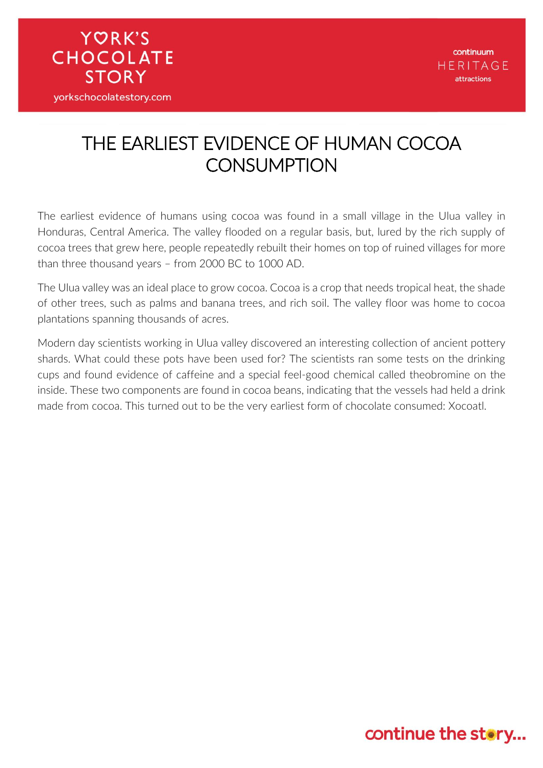### THE EARLIEST EVIDENCE OF HUMAN COCOA **CONSUMPTION**

**YORK'S** 

**CHOCOLATE** 

**STORY** 

yorkschocolatestory.com

The earliest evidence of humans using cocoa was found in a small village in the Ulua valley in Honduras, Central America. The valley flooded on a regular basis, but, lured by the rich supply of cocoa trees that grew here, people repeatedly rebuilt their homes on top of ruined villages for more than three thousand years – from 2000 BC to 1000 AD.

The Ulua valley was an ideal place to grow cocoa. Cocoa is a crop that needs tropical heat, the shade of other trees, such as palms and banana trees, and rich soil. The valley floor was home to cocoa plantations spanning thousands of acres.

Modern day scientists working in Ulua valley discovered an interesting collection of ancient pottery shards. What could these pots have been used for? The scientists ran some tests on the drinking cups and found evidence of caffeine and a special feel-good chemical called theobromine on the inside. These two components are found in cocoa beans, indicating that the vessels had held a drink made from cocoa. This turned out to be the very earliest form of chocolate consumed: Xocoatl.

#### continue the story...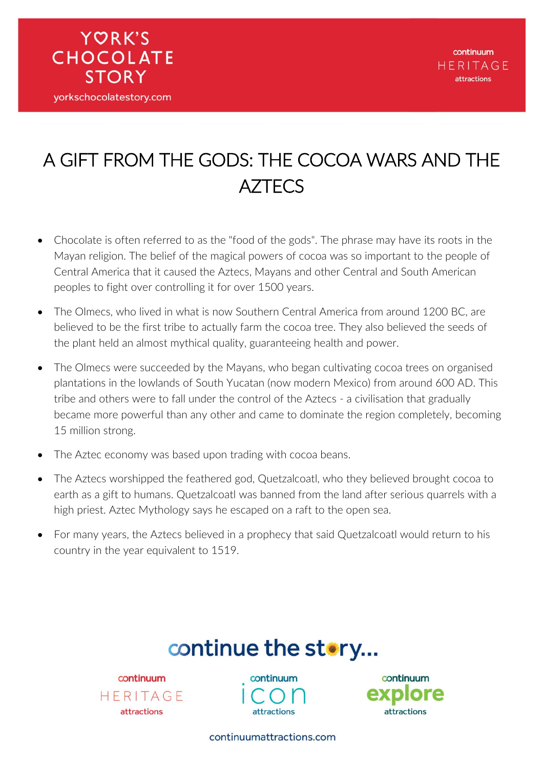

### A GIFT FROM THE GODS: THE COCOA WARS AND THE **AZTECS**

- Chocolate is often referred to as the "food of the gods". The phrase may have its roots in the Mayan religion. The belief of the magical powers of cocoa was so important to the people of Central America that it caused the Aztecs, Mayans and other Central and South American peoples to fight over controlling it for over 1500 years.
- The Olmecs, who lived in what is now Southern Central America from around 1200 BC, are believed to be the first tribe to actually farm the cocoa tree. They also believed the seeds of the plant held an almost mythical quality, guaranteeing health and power.
- The Olmecs were succeeded by the Mayans, who began cultivating cocoa trees on organised plantations in the lowlands of South Yucatan (now modern Mexico) from around 600 AD. This tribe and others were to fall under the control of the Aztecs - a civilisation that gradually became more powerful than any other and came to dominate the region completely, becoming 15 million strong.
- The Aztec economy was based upon trading with cocoa beans.
- The Aztecs worshipped the feathered god, Quetzalcoatl, who they believed brought cocoa to earth as a gift to humans. Quetzalcoatl was banned from the land after serious quarrels with a high priest. Aztec Mythology says he escaped on a raft to the open sea.
- For many years, the Aztecs believed in a prophecy that said Quetzalcoatl would return to his country in the year equivalent to 1519.

## continue the story...

continuum HERITAGE attractions

continuum attractions



continuumattractions.com